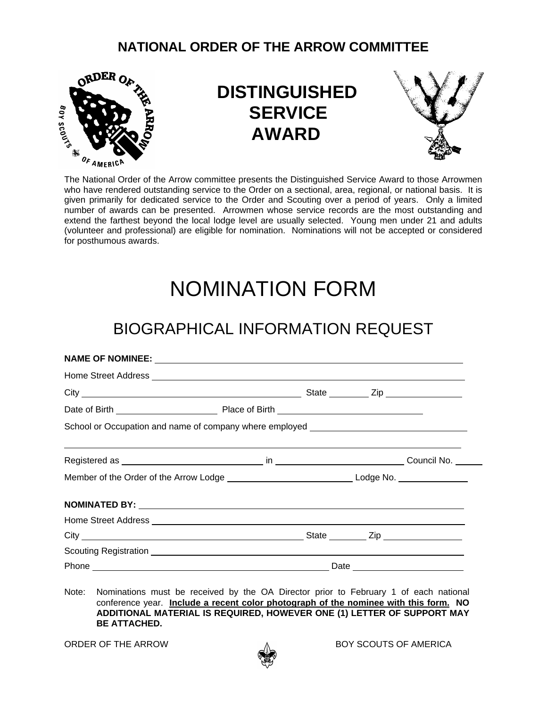#### **NATIONAL ORDER OF THE ARROW COMMITTEE**



## **DISTINGUISHED SERVICE AWARD**



The National Order of the Arrow committee presents the Distinguished Service Award to those Arrowmen who have rendered outstanding service to the Order on a sectional, area, regional, or national basis. It is given primarily for dedicated service to the Order and Scouting over a period of years. Only a limited number of awards can be presented. Arrowmen whose service records are the most outstanding and extend the farthest beyond the local lodge level are usually selected. Young men under 21 and adults (volunteer and professional) are eligible for nomination. Nominations will not be accepted or considered for posthumous awards.

# NOMINATION FORM

## BIOGRAPHICAL INFORMATION REQUEST

| School or Occupation and name of company where employed _________________________ |  |  |
|-----------------------------------------------------------------------------------|--|--|
|                                                                                   |  |  |
|                                                                                   |  |  |
|                                                                                   |  |  |
|                                                                                   |  |  |
|                                                                                   |  |  |
|                                                                                   |  |  |
|                                                                                   |  |  |

Note: Nominations must be received by the OA Director prior to February 1 of each national conference year. **Include a recent color photograph of the nominee with this form. NO ADDITIONAL MATERIAL IS REQUIRED, HOWEVER ONE (1) LETTER OF SUPPORT MAY BE ATTACHED.**



ORDER OF THE ARROW A GROUTS OF AMERICA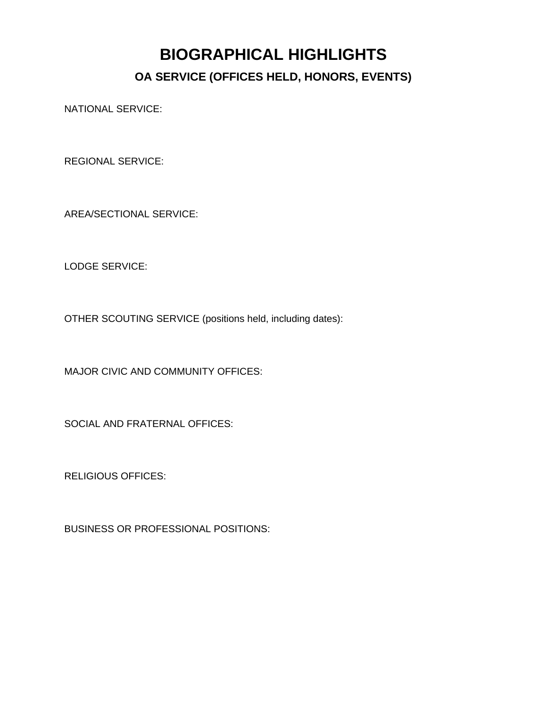### **BIOGRAPHICAL HIGHLIGHTS OA SERVICE (OFFICES HELD, HONORS, EVENTS)**

NATIONAL SERVICE:

REGIONAL SERVICE:

AREA/SECTIONAL SERVICE:

LODGE SERVICE:

OTHER SCOUTING SERVICE (positions held, including dates):

MAJOR CIVIC AND COMMUNITY OFFICES:

SOCIAL AND FRATERNAL OFFICES:

RELIGIOUS OFFICES:

BUSINESS OR PROFESSIONAL POSITIONS: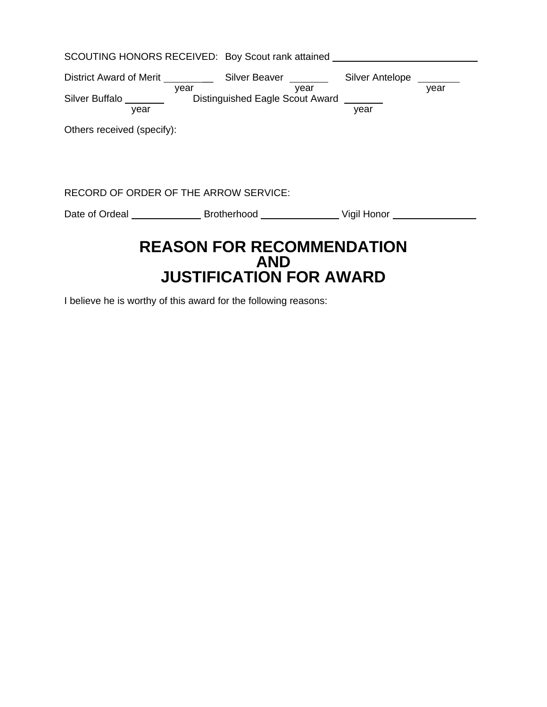| SCOUTING HONORS RECEIVED: Boy Scout rank attained                             |                |      |      |  |  |
|-------------------------------------------------------------------------------|----------------|------|------|--|--|
|                                                                               |                |      | year |  |  |
| Silver Buffalo _____________ Distinguished Eagle Scout Award ________<br>year | year year year | year |      |  |  |
| Others received (specify):                                                    |                |      |      |  |  |
|                                                                               |                |      |      |  |  |
|                                                                               |                |      |      |  |  |
| RECORD OF ORDER OF THE ARROW SERVICE:                                         |                |      |      |  |  |
|                                                                               |                |      |      |  |  |
| <b>REASON FOR RECOMMENDATION</b><br><b>AND</b>                                |                |      |      |  |  |
| <b>JUSTIFICATION FOR AWARD</b>                                                |                |      |      |  |  |

I believe he is worthy of this award for the following reasons: